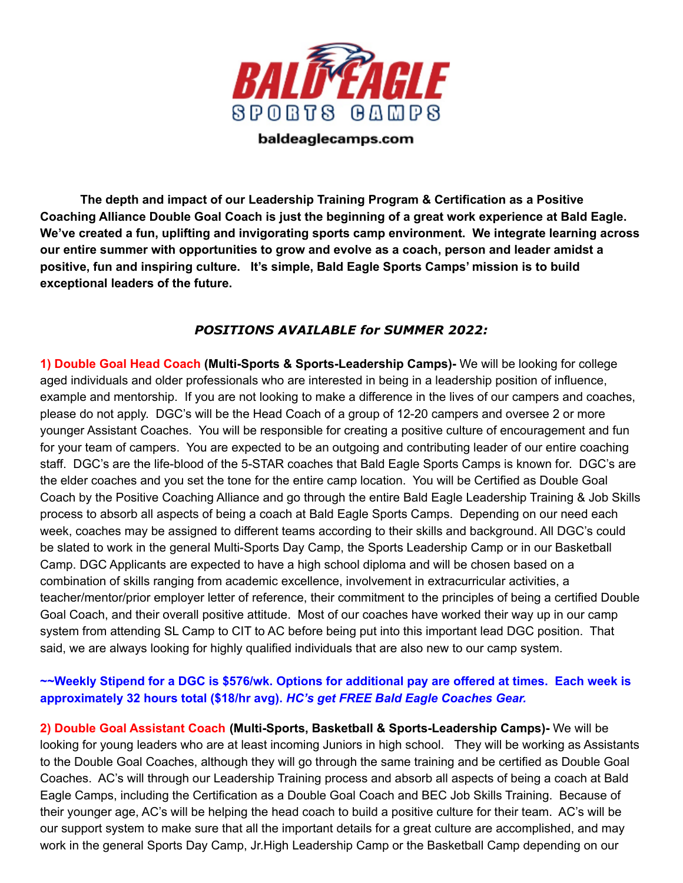

baldeaglecamps.com

**The depth and impact of our Leadership Training Program & Certification as a Positive Coaching Alliance Double Goal Coach is just the beginning of a great work experience at Bald Eagle. We've created a fun, uplifting and invigorating sports camp environment. We integrate learning across our entire summer with opportunities to grow and evolve as a coach, person and leader amidst a positive, fun and inspiring culture. It's simple, Bald Eagle Sports Camps' mission is to build exceptional leaders of the future.**

## *POSITIONS AVAILABLE for SUMMER 2022:*

**1) Double Goal Head Coach (Multi-Sports & Sports-Leadership Camps)-** We will be looking for college aged individuals and older professionals who are interested in being in a leadership position of influence, example and mentorship. If you are not looking to make a difference in the lives of our campers and coaches, please do not apply. DGC's will be the Head Coach of a group of 12-20 campers and oversee 2 or more younger Assistant Coaches. You will be responsible for creating a positive culture of encouragement and fun for your team of campers. You are expected to be an outgoing and contributing leader of our entire coaching staff. DGC's are the life-blood of the 5-STAR coaches that Bald Eagle Sports Camps is known for. DGC's are the elder coaches and you set the tone for the entire camp location. You will be Certified as Double Goal Coach by the Positive Coaching Alliance and go through the entire Bald Eagle Leadership Training & Job Skills process to absorb all aspects of being a coach at Bald Eagle Sports Camps. Depending on our need each week, coaches may be assigned to different teams according to their skills and background. All DGC's could be slated to work in the general Multi-Sports Day Camp, the Sports Leadership Camp or in our Basketball Camp. DGC Applicants are expected to have a high school diploma and will be chosen based on a combination of skills ranging from academic excellence, involvement in extracurricular activities, a teacher/mentor/prior employer letter of reference, their commitment to the principles of being a certified Double Goal Coach, and their overall positive attitude. Most of our coaches have worked their way up in our camp system from attending SL Camp to CIT to AC before being put into this important lead DGC position. That said, we are always looking for highly qualified individuals that are also new to our camp system.

## ~~Weekly Stipend for a DGC is \$576/wk. Options for additional pay are offered at times. Each week is **approximately 32 hours total (\$18/hr avg).** *HC's get FREE Bald Eagle Coaches Gear.*

**2) Double Goal Assistant Coach (Multi-Sports, Basketball & Sports-Leadership Camps)-** We will be looking for young leaders who are at least incoming Juniors in high school. They will be working as Assistants to the Double Goal Coaches, although they will go through the same training and be certified as Double Goal Coaches. AC's will through our Leadership Training process and absorb all aspects of being a coach at Bald Eagle Camps, including the Certification as a Double Goal Coach and BEC Job Skills Training. Because of their younger age, AC's will be helping the head coach to build a positive culture for their team. AC's will be our support system to make sure that all the important details for a great culture are accomplished, and may work in the general Sports Day Camp, Jr.High Leadership Camp or the Basketball Camp depending on our